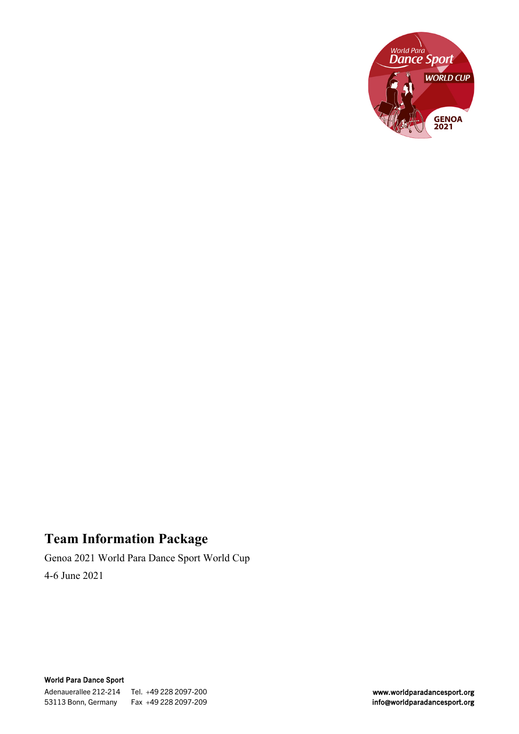

# **Team Information Package**

Genoa 2021 World Para Dance Sport World Cup 4-6 June 2021

World Para Dance Sport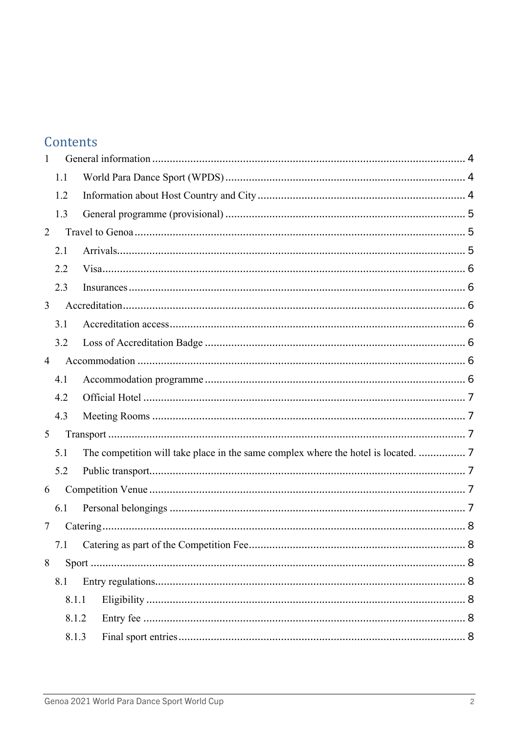# Contents

| $\mathbf{1}$   |       |                                                                                    |  |
|----------------|-------|------------------------------------------------------------------------------------|--|
|                | 1.1   |                                                                                    |  |
|                | 1.2   |                                                                                    |  |
|                | 1.3   |                                                                                    |  |
| $\overline{2}$ |       |                                                                                    |  |
|                | 2.1   |                                                                                    |  |
|                | 2.2   |                                                                                    |  |
|                | 2.3   |                                                                                    |  |
| $\mathfrak{Z}$ |       |                                                                                    |  |
|                | 3.1   |                                                                                    |  |
|                | 3.2   |                                                                                    |  |
| $\overline{4}$ |       |                                                                                    |  |
|                | 4.1   |                                                                                    |  |
|                | 4.2   |                                                                                    |  |
|                | 4.3   |                                                                                    |  |
| 5              |       |                                                                                    |  |
|                | 5.1   | The competition will take place in the same complex where the hotel is located.  7 |  |
|                | 5.2   |                                                                                    |  |
| 6              |       |                                                                                    |  |
|                | 6.1   |                                                                                    |  |
| 7              |       |                                                                                    |  |
|                | 7.1   |                                                                                    |  |
| 8              |       |                                                                                    |  |
|                | 8.1   |                                                                                    |  |
|                | 8.1.1 |                                                                                    |  |
|                | 8.1.2 |                                                                                    |  |
|                | 8.1.3 |                                                                                    |  |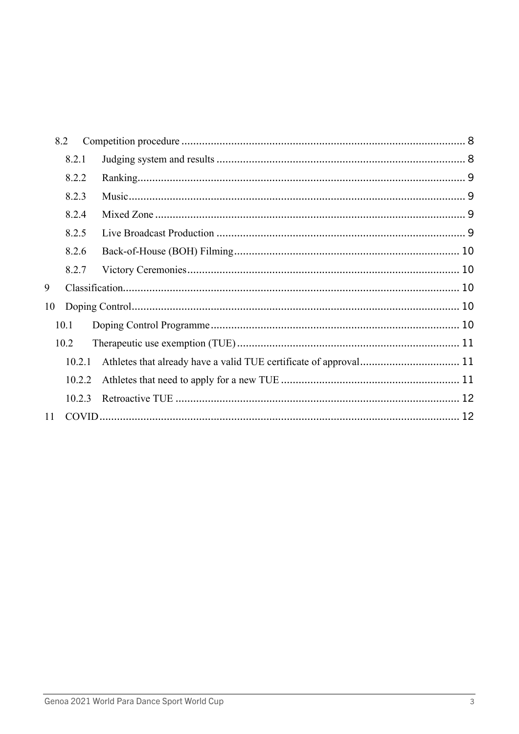|    | 8.2    |                                                                   |  |
|----|--------|-------------------------------------------------------------------|--|
|    | 8.2.1  |                                                                   |  |
|    | 8.2.2  |                                                                   |  |
|    | 8.2.3  |                                                                   |  |
|    | 8.2.4  |                                                                   |  |
|    | 8.2.5  |                                                                   |  |
|    | 8.2.6  |                                                                   |  |
|    | 8.2.7  |                                                                   |  |
| 9  |        |                                                                   |  |
| 10 |        |                                                                   |  |
|    | 10.1   |                                                                   |  |
|    | 10.2   |                                                                   |  |
|    | 10.2.1 | Athletes that already have a valid TUE certificate of approval 11 |  |
|    | 10.2.2 |                                                                   |  |
|    | 10.2.3 |                                                                   |  |
| 11 |        |                                                                   |  |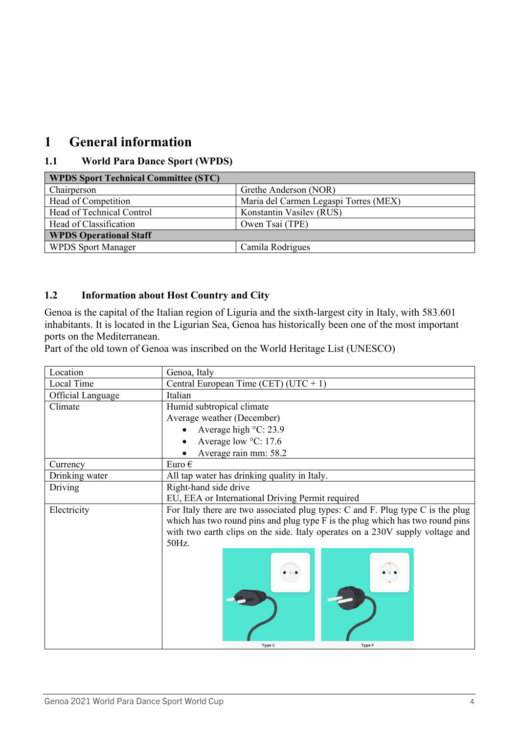## <span id="page-3-0"></span>**1 General information**

### <span id="page-3-1"></span>**1.1 World Para Dance Sport (WPDS)**

| <b>WPDS Sport Technical Committee (STC)</b> |                                       |  |  |
|---------------------------------------------|---------------------------------------|--|--|
| Chairperson                                 | Grethe Anderson (NOR)                 |  |  |
| Head of Competition                         | Maria del Carmen Legaspi Torres (MEX) |  |  |
| Head of Technical Control                   | Konstantin Vasilev (RUS)              |  |  |
| Head of Classification                      | Owen Tsai (TPE)                       |  |  |
| <b>WPDS Operational Staff</b>               |                                       |  |  |
| <b>WPDS Sport Manager</b>                   | Camila Rodrigues                      |  |  |

#### <span id="page-3-2"></span>**1.2 Information about Host Country and City**

Genoa is the capital of the Italian region of Liguria and the sixth-largest city in Italy, with 583.601 inhabitants. It is located in the Ligurian Sea, Genoa has historically been one of the most important ports on the Mediterranean.

Part of the old town of Genoa was inscribed on the World Heritage List (UNESCO)

| Location                 | Genoa, Italy                                                                    |  |  |
|--------------------------|---------------------------------------------------------------------------------|--|--|
| Local Time               | Central European Time (CET) (UTC + 1)                                           |  |  |
| <b>Official Language</b> | Italian                                                                         |  |  |
| Climate                  | Humid subtropical climate                                                       |  |  |
|                          | Average weather (December)                                                      |  |  |
|                          | Average high °C: 23.9                                                           |  |  |
|                          | Average low °C: 17.6                                                            |  |  |
|                          | Average rain mm: 58.2                                                           |  |  |
| Currency                 | Euro $\epsilon$                                                                 |  |  |
| Drinking water           | All tap water has drinking quality in Italy.                                    |  |  |
| Driving                  | Right-hand side drive                                                           |  |  |
|                          | EU, EEA or International Driving Permit required                                |  |  |
| Electricity              | For Italy there are two associated plug types: C and F. Plug type C is the plug |  |  |
|                          | which has two round pins and plug type F is the plug which has two round pins   |  |  |
|                          | with two earth clips on the side. Italy operates on a 230V supply voltage and   |  |  |
|                          | 50Hz.                                                                           |  |  |
|                          |                                                                                 |  |  |
|                          |                                                                                 |  |  |
|                          |                                                                                 |  |  |
|                          |                                                                                 |  |  |
|                          |                                                                                 |  |  |
|                          |                                                                                 |  |  |
|                          |                                                                                 |  |  |
|                          |                                                                                 |  |  |
|                          | <b>Type C</b><br><b>Type F</b>                                                  |  |  |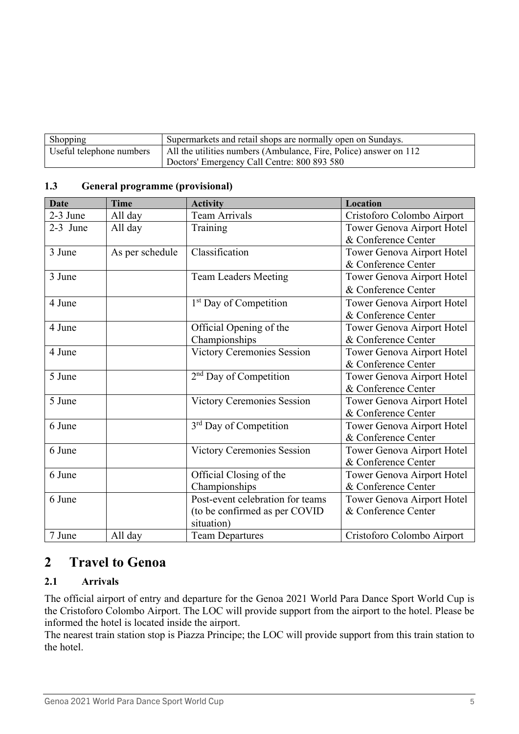| Shopping                 | Supermarkets and retail shops are normally open on Sundays.       |
|--------------------------|-------------------------------------------------------------------|
| Useful telephone numbers | All the utilities numbers (Ambulance, Fire, Police) answer on 112 |
|                          | Doctors' Emergency Call Centre: 800 893 580                       |

| <b>Date</b> | <b>Time</b>     | <b>Activity</b>                    | Location                   |
|-------------|-----------------|------------------------------------|----------------------------|
| 2-3 June    | All day         | <b>Team Arrivals</b>               | Cristoforo Colombo Airport |
| 2-3 June    | All day         | Training                           | Tower Genova Airport Hotel |
|             |                 |                                    | & Conference Center        |
| 3 June      | As per schedule | Classification                     | Tower Genova Airport Hotel |
|             |                 |                                    | & Conference Center        |
| 3 June      |                 | <b>Team Leaders Meeting</b>        | Tower Genova Airport Hotel |
|             |                 |                                    | & Conference Center        |
| 4 June      |                 | 1 <sup>st</sup> Day of Competition | Tower Genova Airport Hotel |
|             |                 |                                    | & Conference Center        |
| 4 June      |                 | Official Opening of the            | Tower Genova Airport Hotel |
|             |                 | Championships                      | & Conference Center        |
| 4 June      |                 | Victory Ceremonies Session         | Tower Genova Airport Hotel |
|             |                 |                                    | & Conference Center        |
| 5 June      |                 | 2 <sup>nd</sup> Day of Competition | Tower Genova Airport Hotel |
|             |                 |                                    | & Conference Center        |
| 5 June      |                 | <b>Victory Ceremonies Session</b>  | Tower Genova Airport Hotel |
|             |                 |                                    | & Conference Center        |
| 6 June      |                 | 3 <sup>rd</sup> Day of Competition | Tower Genova Airport Hotel |
|             |                 |                                    | & Conference Center        |
| 6 June      |                 | Victory Ceremonies Session         | Tower Genova Airport Hotel |
|             |                 |                                    | & Conference Center        |
| 6 June      |                 | Official Closing of the            | Tower Genova Airport Hotel |
|             |                 | Championships                      | & Conference Center        |
| 6 June      |                 | Post-event celebration for teams   | Tower Genova Airport Hotel |
|             |                 | (to be confirmed as per COVID      | & Conference Center        |
|             |                 | situation)                         |                            |
| 7 June      | All day         | <b>Team Departures</b>             | Cristoforo Colombo Airport |

#### <span id="page-4-0"></span>**1.3 General programme (provisional)**

## <span id="page-4-1"></span>**2 Travel to Genoa**

#### <span id="page-4-2"></span>**2.1 Arrivals**

The official airport of entry and departure for the Genoa 2021 World Para Dance Sport World Cup is the Cristoforo Colombo Airport. The LOC will provide support from the airport to the hotel. Please be informed the hotel is located inside the airport.

The nearest train station stop is Piazza Principe; the LOC will provide support from this train station to the hotel.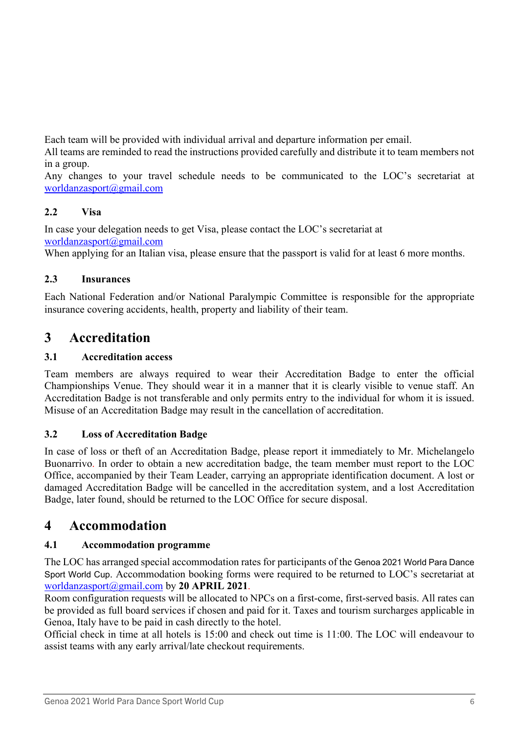Each team will be provided with individual arrival and departure information per email.

All teams are reminded to read the instructions provided carefully and distribute it to team members not in a group.

Any changes to your travel schedule needs to be communicated to the LOC's secretariat at [worldanzasport@gmail.com](mailto:worldanzasport@gmail.com)

### <span id="page-5-0"></span>**2.2 Visa**

In case your delegation needs to get Visa, please contact the LOC's secretariat at [worldanzasport@gmail.com](mailto:worldanzasport@gmail.com)

When applying for an Italian visa, please ensure that the passport is valid for at least 6 more months.

### <span id="page-5-1"></span>**2.3 Insurances**

Each National Federation and/or National Paralympic Committee is responsible for the appropriate insurance covering accidents, health, property and liability of their team.

# <span id="page-5-2"></span>**3 Accreditation**

### <span id="page-5-3"></span>**3.1 Accreditation access**

Team members are always required to wear their Accreditation Badge to enter the official Championships Venue. They should wear it in a manner that it is clearly visible to venue staff. An Accreditation Badge is not transferable and only permits entry to the individual for whom it is issued. Misuse of an Accreditation Badge may result in the cancellation of accreditation.

### <span id="page-5-4"></span>**3.2 Loss of Accreditation Badge**

In case of loss or theft of an Accreditation Badge, please report it immediately to Mr. Michelangelo Buonarrivo. In order to obtain a new accreditation badge, the team member must report to the LOC Office, accompanied by their Team Leader, carrying an appropriate identification document. A lost or damaged Accreditation Badge will be cancelled in the accreditation system, and a lost Accreditation Badge, later found, should be returned to the LOC Office for secure disposal.

## <span id="page-5-5"></span>**4 Accommodation**

## <span id="page-5-6"></span>**4.1 Accommodation programme**

The LOC has arranged special accommodation rates for participants of the Genoa 2021 World Para Dance Sport World Cup. Accommodation booking forms were required to be returned to LOC's secretariat at [worldanzasport@gmail.com](mailto:worldanzasport@gmail.com) by **20 APRIL 2021**.

Room configuration requests will be allocated to NPCs on a first-come, first-served basis. All rates can be provided as full board services if chosen and paid for it. Taxes and tourism surcharges applicable in Genoa, Italy have to be paid in cash directly to the hotel.

Official check in time at all hotels is 15:00 and check out time is 11:00. The LOC will endeavour to assist teams with any early arrival/late checkout requirements.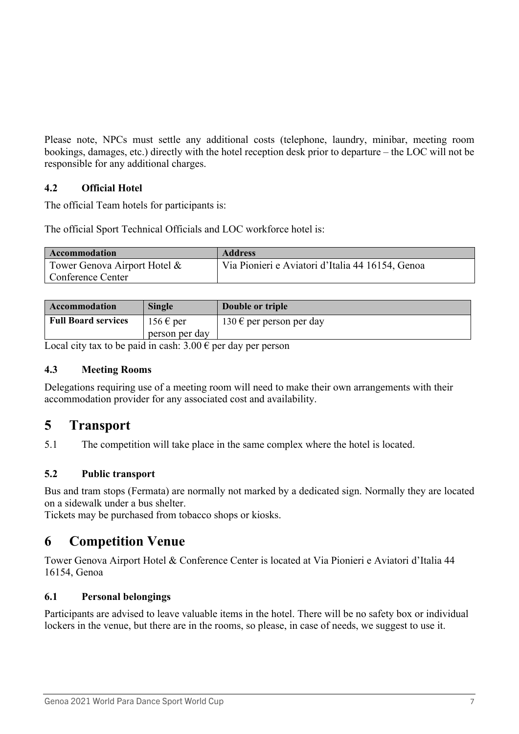Please note, NPCs must settle any additional costs (telephone, laundry, minibar, meeting room bookings, damages, etc.) directly with the hotel reception desk prior to departure – the LOC will not be responsible for any additional charges.

#### <span id="page-6-0"></span>**4.2 Official Hotel**

The official Team hotels for participants is:

The official Sport Technical Officials and LOC workforce hotel is:

| <b>Accommodation</b>         | <b>Address</b>                                   |
|------------------------------|--------------------------------------------------|
| Tower Genova Airport Hotel & | Via Pionieri e Aviatori d'Italia 44 16154, Genoa |
| Conference Center            |                                                  |

| Accommodation              | <b>Single</b>                 | Double or triple         |
|----------------------------|-------------------------------|--------------------------|
| <b>Full Board services</b> | $156 \text{ } \in \text{per}$ | 130 € per person per day |
|                            | person per day                |                          |

Local city tax to be paid in cash:  $3.00 \in$  per day per person

#### <span id="page-6-1"></span>**4.3 Meeting Rooms**

Delegations requiring use of a meeting room will need to make their own arrangements with their accommodation provider for any associated cost and availability.

## <span id="page-6-2"></span>**5 Transport**

<span id="page-6-3"></span>5.1 The competition will take place in the same complex where the hotel is located.

#### <span id="page-6-4"></span>**5.2 Public transport**

Bus and tram stops (Fermata) are normally not marked by a dedicated sign. Normally they are located on a sidewalk under a bus shelter.

Tickets may be purchased from tobacco shops or kiosks.

## <span id="page-6-5"></span>**6 Competition Venue**

Tower Genova Airport Hotel & Conference Center is located at Via Pionieri e Aviatori d'Italia 44 16154, Genoa

#### <span id="page-6-6"></span>**6.1 Personal belongings**

Participants are advised to leave valuable items in the hotel. There will be no safety box or individual lockers in the venue, but there are in the rooms, so please, in case of needs, we suggest to use it.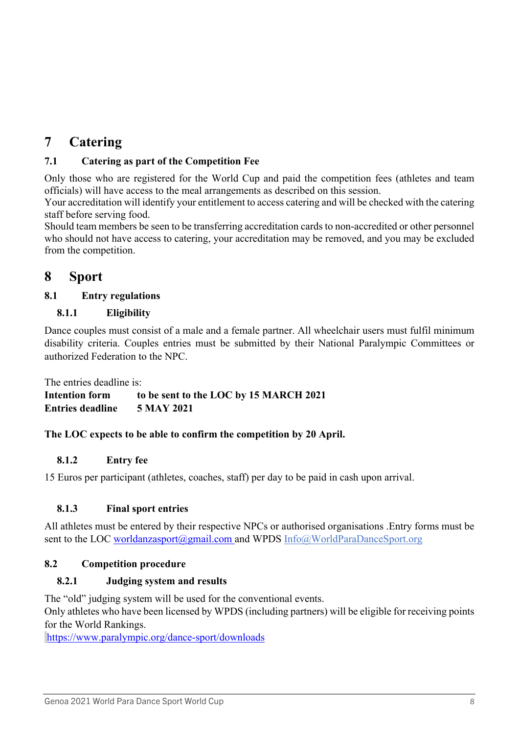# <span id="page-7-0"></span>**7 Catering**

### <span id="page-7-1"></span>**7.1 Catering as part of the Competition Fee**

Only those who are registered for the World Cup and paid the competition fees (athletes and team officials) will have access to the meal arrangements as described on this session.

Your accreditation will identify your entitlement to access catering and will be checked with the catering staff before serving food.

Should team members be seen to be transferring accreditation cards to non-accredited or other personnel who should not have access to catering, your accreditation may be removed, and you may be excluded from the competition.

## <span id="page-7-2"></span>**8 Sport**

#### <span id="page-7-3"></span>**8.1 Entry regulations**

#### <span id="page-7-4"></span>**8.1.1 Eligibility**

Dance couples must consist of a male and a female partner. All wheelchair users must fulfil minimum disability criteria. Couples entries must be submitted by their National Paralympic Committees or authorized Federation to the NPC.

The entries deadline is:

**Intention form to be sent to the LOC by 15 MARCH 2021 Entries deadline 5 MAY 2021**

#### **The LOC expects to be able to confirm the competition by 20 April.**

#### <span id="page-7-5"></span>**8.1.2 Entry fee**

15 Euros per participant (athletes, coaches, staff) per day to be paid in cash upon arrival.

#### <span id="page-7-6"></span>**8.1.3 Final sport entries**

All athletes must be entered by their respective NPCs or authorised organisations .Entry forms must be sent to the LOC [worldanzasport@gmail.com](mailto:worldanzasport@gmail.com) and WPDS [Info@WorldParaDanceSport.org](mailto:Info@WorldParaDanceSport.org)

#### <span id="page-7-7"></span>**8.2 Competition procedure**

#### <span id="page-7-8"></span>**8.2.1 Judging system and results**

The "old" judging system will be used for the conventional events.

Only athletes who have been licensed by WPDS (including partners) will be eligible for receiving points for the World Rankings.

<https://www.paralympic.org/dance-sport/downloads>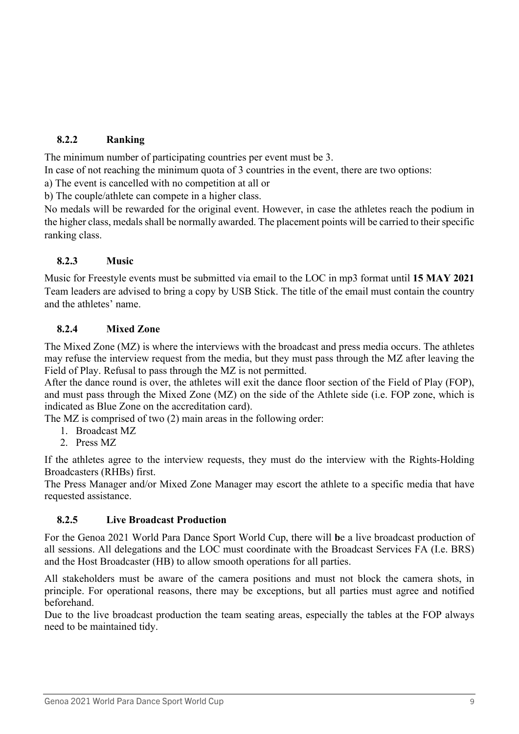### <span id="page-8-0"></span>**8.2.2 Ranking**

The minimum number of participating countries per event must be 3.

In case of not reaching the minimum quota of 3 countries in the event, there are two options:

a) The event is cancelled with no competition at all or

b) The couple/athlete can compete in a higher class.

No medals will be rewarded for the original event. However, in case the athletes reach the podium in the higher class, medals shall be normally awarded. The placement points will be carried to their specific ranking class.

### <span id="page-8-1"></span>**8.2.3 Music**

Music for Freestyle events must be submitted via email to the LOC in mp3 format until **15 MAY 2021** Team leaders are advised to bring a copy by USB Stick. The title of the email must contain the country and the athletes' name.

### <span id="page-8-2"></span>**8.2.4 Mixed Zone**

The Mixed Zone (MZ) is where the interviews with the broadcast and press media occurs. The athletes may refuse the interview request from the media, but they must pass through the MZ after leaving the Field of Play. Refusal to pass through the MZ is not permitted.

After the dance round is over, the athletes will exit the dance floor section of the Field of Play (FOP), and must pass through the Mixed Zone (MZ) on the side of the Athlete side (i.e. FOP zone, which is indicated as Blue Zone on the accreditation card).

The MZ is comprised of two (2) main areas in the following order:

- 1. Broadcast MZ
- 2. Press MZ

If the athletes agree to the interview requests, they must do the interview with the Rights-Holding Broadcasters (RHBs) first.

The Press Manager and/or Mixed Zone Manager may escort the athlete to a specific media that have requested assistance.

#### <span id="page-8-3"></span>**8.2.5 Live Broadcast Production**

For the Genoa 2021 World Para Dance Sport World Cup, there will **b**e a live broadcast production of all sessions. All delegations and the LOC must coordinate with the Broadcast Services FA (I.e. BRS) and the Host Broadcaster (HB) to allow smooth operations for all parties.

All stakeholders must be aware of the camera positions and must not block the camera shots, in principle. For operational reasons, there may be exceptions, but all parties must agree and notified beforehand.

Due to the live broadcast production the team seating areas, especially the tables at the FOP always need to be maintained tidy.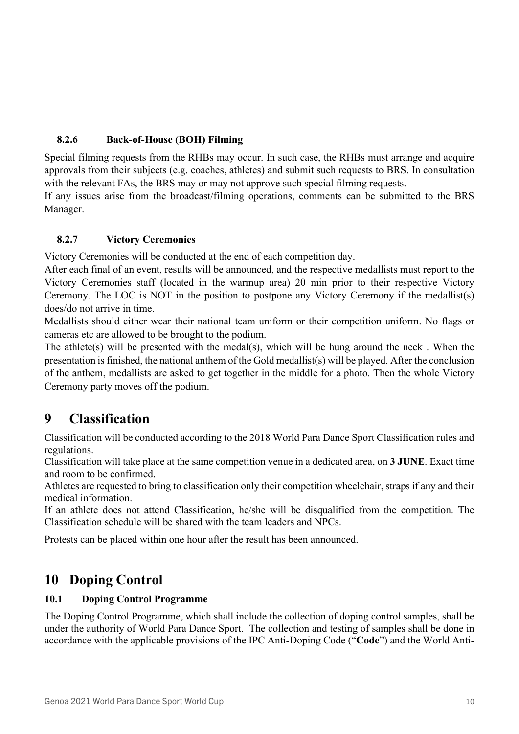### <span id="page-9-0"></span>**8.2.6 Back-of-House (BOH) Filming**

Special filming requests from the RHBs may occur. In such case, the RHBs must arrange and acquire approvals from their subjects (e.g. coaches, athletes) and submit such requests to BRS. In consultation with the relevant FAs, the BRS may or may not approve such special filming requests.

If any issues arise from the broadcast/filming operations, comments can be submitted to the BRS Manager.

#### <span id="page-9-1"></span>**8.2.7 Victory Ceremonies**

Victory Ceremonies will be conducted at the end of each competition day.

After each final of an event, results will be announced, and the respective medallists must report to the Victory Ceremonies staff (located in the warmup area) 20 min prior to their respective Victory Ceremony. The LOC is NOT in the position to postpone any Victory Ceremony if the medallist(s) does/do not arrive in time.

Medallists should either wear their national team uniform or their competition uniform. No flags or cameras etc are allowed to be brought to the podium.

The athlete(s) will be presented with the medal(s), which will be hung around the neck . When the presentation is finished, the national anthem of the Gold medallist(s) will be played. After the conclusion of the anthem, medallists are asked to get together in the middle for a photo. Then the whole Victory Ceremony party moves off the podium.

## <span id="page-9-2"></span>**9 Classification**

Classification will be conducted according to the 2018 World Para Dance Sport Classification rules and regulations.

Classification will take place at the same competition venue in a dedicated area, on **3 JUNE**. Exact time and room to be confirmed.

Athletes are requested to bring to classification only their competition wheelchair, straps if any and their medical information.

If an athlete does not attend Classification, he/she will be disqualified from the competition. The Classification schedule will be shared with the team leaders and NPCs.

Protests can be placed within one hour after the result has been announced.

# <span id="page-9-3"></span>**10 Doping Control**

#### <span id="page-9-4"></span>**10.1 Doping Control Programme**

The Doping Control Programme, which shall include the collection of doping control samples, shall be under the authority of World Para Dance Sport. The collection and testing of samples shall be done in accordance with the applicable provisions of the IPC Anti-Doping Code ("**Code**") and the World Anti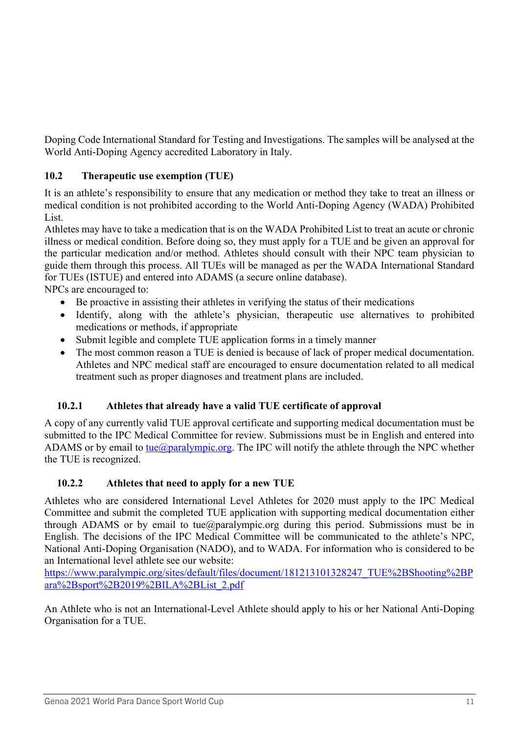Doping Code International Standard for Testing and Investigations. The samples will be analysed at the World Anti-Doping Agency accredited Laboratory in Italy.

### <span id="page-10-0"></span>**10.2 Therapeutic use exemption (TUE)**

It is an athlete's responsibility to ensure that any medication or method they take to treat an illness or medical condition is not prohibited according to the World Anti-Doping Agency (WADA) Prohibited List.

Athletes may have to take a medication that is on the WADA Prohibited List to treat an acute or chronic illness or medical condition. Before doing so, they must apply for a TUE and be given an approval for the particular medication and/or method. Athletes should consult with their NPC team physician to guide them through this process. All TUEs will be managed as per the WADA International Standard for TUEs (ISTUE) and entered into ADAMS (a secure online database). NPCs are encouraged to:

Be proactive in assisting their athletes in verifying the status of their medications

- Identify, along with the athlete's physician, therapeutic use alternatives to prohibited medications or methods, if appropriate
- Submit legible and complete TUE application forms in a timely manner
- The most common reason a TUE is denied is because of lack of proper medical documentation. Athletes and NPC medical staff are encouraged to ensure documentation related to all medical treatment such as proper diagnoses and treatment plans are included.

### <span id="page-10-1"></span>**10.2.1 Athletes that already have a valid TUE certificate of approval**

A copy of any currently valid TUE approval certificate and supporting medical documentation must be submitted to the IPC Medical Committee for review. Submissions must be in English and entered into ADAMS or by email to [tue@paralympic.org.](mailto:tue@paralympic.org) The IPC will notify the athlete through the NPC whether the TUE is recognized.

### <span id="page-10-2"></span>**10.2.2 Athletes that need to apply for a new TUE**

Athletes who are considered International Level Athletes for 2020 must apply to the IPC Medical Committee and submit the completed TUE application with supporting medical documentation either through ADAMS or by email to tue@paralympic.org during this period. Submissions must be in English. The decisions of the IPC Medical Committee will be communicated to the athlete's NPC, National Anti-Doping Organisation (NADO), and to WADA. For information who is considered to be an International level athlete see our website:

[https://www.paralympic.org/sites/default/files/document/181213101328247\\_TUE%2BShooting%2BP](https://www.paralympic.org/sites/default/files/document/181213101328247_TUE%2BShooting%2BPara%2Bsport%2B2019%2BILA%2BList_2.pdf) [ara%2Bsport%2B2019%2BILA%2BList\\_2.pdf](https://www.paralympic.org/sites/default/files/document/181213101328247_TUE%2BShooting%2BPara%2Bsport%2B2019%2BILA%2BList_2.pdf)

An Athlete who is not an International-Level Athlete should apply to his or her National Anti-Doping Organisation for a TUE.